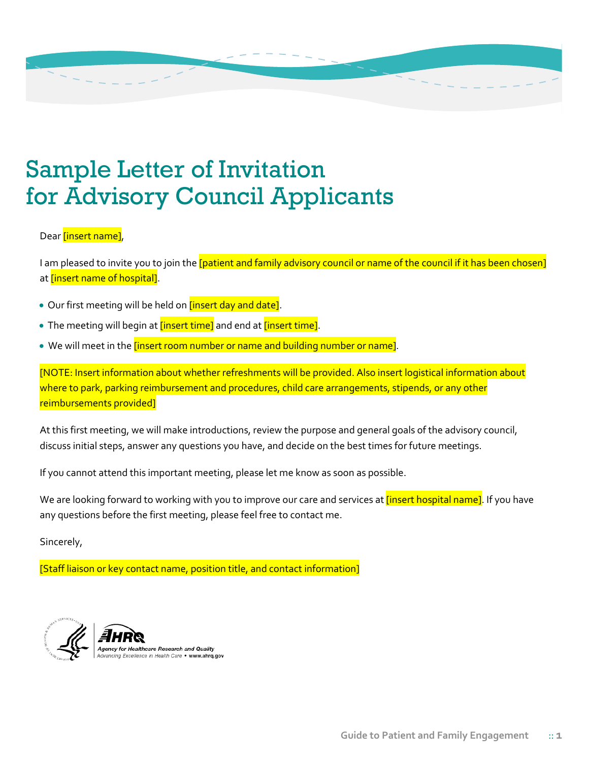## Sample Letter of Invitation for Advisory Council Applicants

## Dear **[insert name]**,

I am pleased to invite you to join the *[patient and family advisory council or name of the council if it has been chosen]* at *[insert name of hospital]*.

- Our first meeting will be held on *[insert day and date]*.
- The meeting will begin at *[insert time]* and end at *[insert time]*.
- We will meet in the *[insert room number or name and building number or name]*.

[NOTE: Insert information about whether refreshments will be provided. Also insert logistical information about where to park, parking reimbursement and procedures, child care arrangements, stipends, or any other reimbursements provided]

At this first meeting, we will make introductions, review the purpose and general goals of the advisory council, discuss initial steps, answer any questions you have, and decide on the best times for future meetings.

If you cannot attend this important meeting, please let me know as soon as possible.

We are looking forward to working with you to improve our care and services at *[insert hospital name]*. If you have any questions before the first meeting, please feel free to contact me.

Sincerely,

[Staff liaison or key contact name, position title, and contact information]